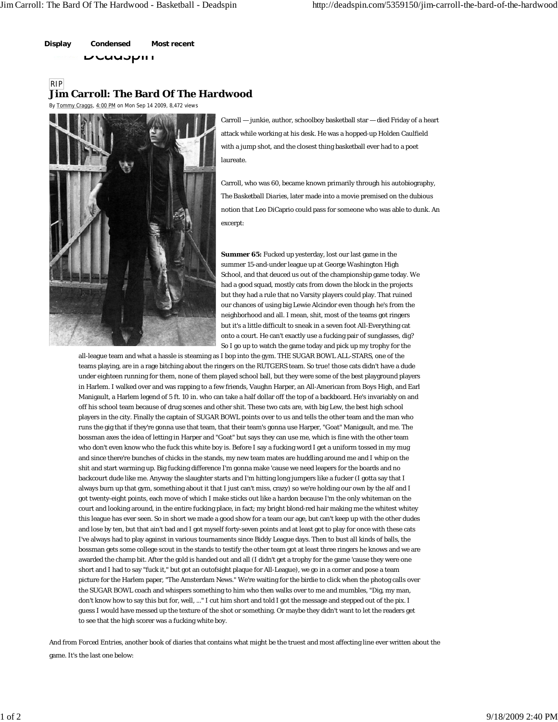**Display Condensed Most recent**



## RIP **Jim Carroll: The Bard Of The Hardwood**

By Tommy Craggs, 4:00 PM on Mon Sep 14 2009, 8,472 views



Carroll — junkie, author, schoolboy basketball star — died Friday of a heart attack while working at his desk. He was a hopped-up Holden Caulfield with a jump shot, and the closest thing basketball ever had to a poet laureate.

Carroll, who was 60, became known primarily through his autobiography, *The Basketball Diaries*, later made into a movie premised on the dubious notion that Leo DiCaprio could pass for someone who was able to dunk. An excerpt:

**Summer 65:** Fucked up yesterday, lost our last game in the summer 15-and-under league up at George Washington High School, and that deuced us out of the championship game today. We had a good squad, mostly cats from down the block in the projects but they had a rule that no Varsity players could play. That ruined our chances of using big Lewie Alcindor even though he's from the neighborhood and all. I mean, shit, most of the teams got ringers but it's a little difficult to sneak in a seven foot All-Everything cat onto a court. He can't exactly use a fucking pair of sunglasses, dig? So I go up to watch the game today and pick up my trophy for the

all-league team and what a hassle is steaming as I bop into the gym. THE SUGAR BOWL ALL-STARS, one of the teams playing, are in a rage bitching about the ringers on the RUTGERS team. So true! those cats didn't have a dude under eighteen running for them, none of them played school ball, but they were some of the best playground players in Harlem. I walked over and was rapping to a few friends, Vaughn Harper, an All-American from Boys High, and Earl Manigault, a Harlem legend of 5 ft. 10 in. who can take a half dollar off the top of a backboard. He's invariably on and off his school team because of drug scenes and other shit. These two cats are, with big Lew, the best high school players in the city. Finally the captain of SUGAR BOWL points over to us and tells the other team and the man who runs the gig that if they're gonna use that team, that their team's gonna use Harper, "Goat" Manigault, and me. The bossman axes the idea of letting in Harper and "Goat" but says they can use me, which is fine with the other team who don't even know who the fuck this white boy is. Before I say a fucking word I get a uniform tossed in my mug and since there're bunches of chicks in the stands, my new team mates are huddling around me and I whip on the shit and start warming up. Big fucking difference I'm gonna make 'cause we need leapers for the boards and no backcourt dude like me. Anyway the slaughter starts and I'm hitting long jumpers like a fucker (I gotta say that I always burn up that gym, something about it that I just can't miss, crazy) so we're holding our own by the alf and I got twenty-eight points, each move of which I make sticks out like a hardon because I'm the only whiteman on the court and looking around, in the entire fucking place, in fact; my bright blond-red hair making me the whitest whitey this league has ever seen. So in short we made a good show for a team our age, but can't keep up with the other dudes and lose by ten, but that ain't bad and I got myself forty-seven points and at least got to play for once with these cats I've always had to play against in various tournaments since Biddy League days. Then to bust all kinds of balls, the bossman gets some college scout in the stands to testify the other team got at least three ringers he knows and we are awarded the champ bit. After the gold is handed out and all (I didn't get a trophy for the game 'cause they were one short and I had to say "fuck it," but got an outofsight plaque for All-League), we go in a corner and pose a team picture for the Harlem paper, "The Amsterdam News." We're waiting for the birdie to click when the photog calls over the SUGAR BOWL coach and whispers something to him who then walks over to me and mumbles, "Dig, my man, don't know how to say this but for, well, ..." I cut him short and told I got the message and stepped out of the pix. I guess I would have messed up the texture of the shot or something. Or maybe they didn't want to let the readers get to see that the high scorer was a fucking white boy.

And from *Forced Entries*, another book of diaries that contains what might be the truest and most affecting line ever written about the game. It's the last one below: